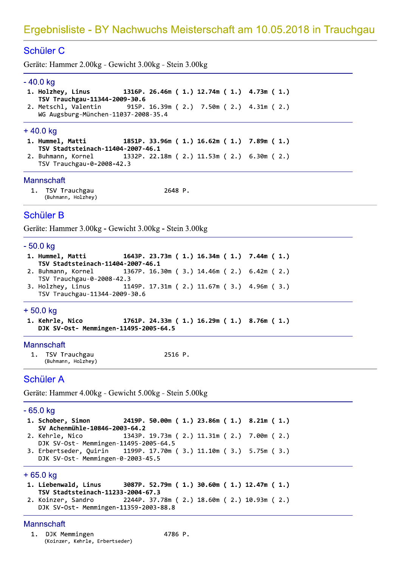# Schüler<sub>C</sub>

- 
- 

- Ergebnisliste BY Nachwuchs Meisterschaft am 10.05.20<br>
Schüler C<br>
Geräte: Hammer 2.00kg Gewicht 3.00kg Stein 3.00kg<br>
 40.0 kg<br>
1. Holzhey, Linus<br>
1316P. 26.46m (1.) 12.74m (1.) 4.73m (1.)<br>
15W Trauchgau-11344-2009-36 2. Buhmann, Kornel 1332P. 22.18m (2.) 11.53m (2.) 6.30m (2.)
	- TSV Trauchgau-0-2008-42.3

# mannscnaπ

1. TSV Trauchgau and the 2648 P. (Buhmann, Holzhey)

# Schüler B

```
2. Buhmann, Kornel<br>
ISV Trauchgau-0-2008-42.3<br>
Mannschaft<br>
1. ISV Trauchgau-0-2008-42.3<br>
Mannschaft<br>
1. ISV Trauchgau<br>
(Buhmann, Holzhey)<br>
2648 P.<br>
Colo Kg<br>
-50.0 Kg<br>
-50.0 Kg<br>
1. Hummel, Matti 1643P. 23.73m (1.) 16.34m (1
```

```
1. Kehrle, Nico 1761P. 24.33m (1.) 16.29m (1.) 8.76m (1.)
  DJK SV-Ost- Memmingen-11495-2005-64.5
```
# Mannschaπ

1. TSV Trauchgau and the 2516 P. (Buhmann, Holzhey)

# **Schüler A**

1. Kehrle, Nico 1761P. 24.33m (1.) 16.29m (1.) 8.76m (1.)<br>
DJK SV-Ost- Memmingen-11495-2005-64.5<br>
Mannschaft<br>
1. TSV Trauchgau 2516 P.<br>
(Buhmann, Holzhey) 2516 P.<br>
(Buhmann, Holzhey) 2516 P.<br>
Chüler A<br>
Geräte: Hammer 4.00k

```
1. Liebenwald, Linus 3087P. 52.79m (1.) 30.60m (1.) 12.47m (1.)
  TSV Stadtsteinach-11233-2004-67.3
2. Koinzer, Sandro 2244P. 37.78m (2.) 18.60m (2.) 10.93m (2.)
```
DJK SV-Ost- Memmingen-11359-2003-88.8

# mannscnaπ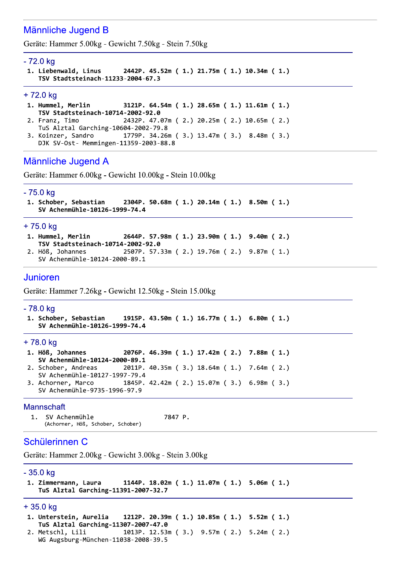# Männliche Jugend B

Geräte: Hammer 5.00kg - Gewicht 7.50kg - Stein 7.50kg

#### - 72.0 kg

```
1. Liebenwald, Linus
                         2442P. 45.52m (1.) 21.75m (1.) 10.34m (1.)
  TSV Stadtsteinach-11233-2004-67.3
```
#### +72.0 kg

```
1. Hummel, Merlin
                         3121P. 64.54m (1.) 28.65m (1.) 11.61m (1.)
  TSV Stadtsteinach-10714-2002-92.0
```

```
2. Franz, Timo
                         2432P. 47.07m (2.) 20.25m (2.) 10.65m (2.)
  TuS Alztal Garching-10604-2002-79.8
                        1779P. 34.26m (3.) 13.47m (3.) 8.48m (3.)
3. Koinzer, Sandro
```

```
DJK SV-Ost- Memmingen-11359-2003-88.8
```
# Männliche Jugend A

Geräte: Hammer 6.00kg - Gewicht 10.00kg - Stein 10.00kg

#### - 75.0 kg

```
1. Schober, Sebastian
                         2304P. 50.68m (1.) 20.14m (1.) 8.50m (1.)
  SV Achenmühle-10126-1999-74.4
```
#### $+75.0$  ka

```
1. Hummel, Merlin
                         2644P. 57.98m (1.) 23.90m (1.) 9.40m (2.)
  TSV Stadtsteinach-10714-2002-92.0
```
- 2507P. 57.33m (2.) 19.76m (2.) 9.87m (1.) 2. Höß, Johannes
- SV Achenmühle-10124-2000-89.1

# Junioren

Geräte: Hammer 7.26kg - Gewicht 12.50kg - Stein 15.00kg

## - 78.0 kg

```
1. Schober, Sebastian
                         1915P. 43.50m (1.) 16.77m (1.) 6.80m (1.)
  SV Achenmühle-10126-1999-74.4
```
#### +78.0 kg

```
1. Höß, Johannes
                         2076P. 46.39m (1.) 17.42m (2.) 7.88m (1.)
  SV Achenmühle-10124-2000-89.1
                         2011P. 40.35m (3.) 18.64m (1.) 7.64m (2.)
2. Schober, Andreas
  SV Achenmühle-10127-1997-79.4
                         1845P. 42.42m (2.) 15.07m (3.) 6.98m (3.)
3. Achorner, Marco
  SV Achenmühle-9735-1996-97.9
```
### Mannschaft

```
1<sub>1</sub>SV Achenmühle
                                                 7847 P.
     (Achorner, Höß, Schober, Schober)
```
# Schülerinnen C

Geräte: Hammer 2.00kg - Gewicht 3.00kg - Stein 3.00kg

# $-35.0$  kg

```
1144P. 18.02m (1.) 11.07m (1.) 5.06m (1.)
1. Zimmermann, Laura
  TuS Alztal Garching-11391-2007-32.7
```
## + 35.0 kg

```
1. Unterstein, Aurelia
                        1212P. 20.39m (1.) 10.85m (1.) 5.52m (1.)
  TuS Alztal Garching-11307-2007-47.0
2. Metschl, Lili
                        1013P. 12.53m (3.) 9.57m (2.) 5.24m (2.)
  WG Augsburg-München-11038-2008-39.5
```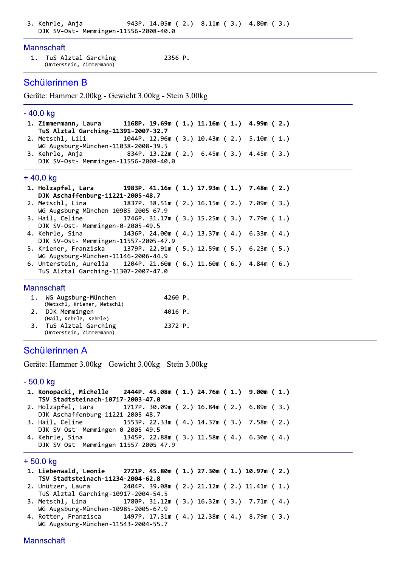## Mannschaft

| TuS Alztal Garching      | 2356 P. |
|--------------------------|---------|
| (Unterstein, Zimmermann) |         |

# Schülerinnen B

Geräte: Hammer 2.00kg - Gewicht 3.00kg - Stein 3.00kg

# $-40.0$  kg

| 1. Zimmermann, Laura                                                       | 1168P. 19.69m ( 1.) 11.16m ( 1.) 4.99m ( 2.) |  |  |  |  |
|----------------------------------------------------------------------------|----------------------------------------------|--|--|--|--|
| TuS Alztal Garching-11391-2007-32.7                                        |                                              |  |  |  |  |
| 2. Metschl, Lili 1044P. 12.96m (3.) 10.43m (2.) 5.10m (1.)                 |                                              |  |  |  |  |
| WG Augsburg-München-11038-2008-39.5                                        |                                              |  |  |  |  |
| 3. Kehrle, Anja                 834P. 13.22m ( 2.) 6.45m ( 3.) 4.45m ( 3.) |                                              |  |  |  |  |
| DJK SV-Ost- Memmingen-11556-2008-40.0                                      |                                              |  |  |  |  |
|                                                                            |                                              |  |  |  |  |

# +40.0 kg

| 1. Holzapfel, Lara 1983P. 41.16m (1.) 17.93m (1.) 7.48m (2.)     |  |  |  |  |  |  |
|------------------------------------------------------------------|--|--|--|--|--|--|
| DJK Aschaffenburg-11221-2005-48.7                                |  |  |  |  |  |  |
| 2. Metschl, Lina 1837P. 38.51m (2.) 16.15m (2.) 7.09m (3.)       |  |  |  |  |  |  |
| WG Augsburg-München-10985-2005-67.9                              |  |  |  |  |  |  |
| 3. Hail, Celine 1746P. 31.17m (3.) 15.25m (3.) 7.79m (1.)        |  |  |  |  |  |  |
| DJK SV-Ost- Memmingen-0-2005-49.5                                |  |  |  |  |  |  |
| 4. Kehrle, Sina (4.) 1436P. 24.00m (4.) 13.37m (4.) 6.33m (4.)   |  |  |  |  |  |  |
| DJK SV-Ost- Memmingen-11557-2005-47.9                            |  |  |  |  |  |  |
| 5. Kriener, Franziska 1379P. 22.91m (5.) 12.59m (5.) 6.23m (5.)  |  |  |  |  |  |  |
| WG Augsburg-München-11146-2006-44.9                              |  |  |  |  |  |  |
| 6. Unterstein, Aurelia 1204P. 21.60m (6.) 11.60m (6.) 4.84m (6.) |  |  |  |  |  |  |
| TuS Alztal Garching-11307-2007-47.0                              |  |  |  |  |  |  |

## Mannschaft

| 1. WG Augsburg-München      | 4260 P. |
|-----------------------------|---------|
| (Metschl, Kriener, Metschl) |         |
| 2. DJK Memmingen            | 4016 P. |
| (Hail, Kehrle, Kehrle)      |         |
| 3. TuS Alztal Garching      | 2372 P. |
| (Unterstein, Zimmermann)    |         |

# Schülerinnen A

Geräte: Hammer 3.00kg - Gewicht 3.00kg - Stein 3.00kg

# $-50.0$  kg

| 1. Konopacki, Michelle 2444P. 45.08m (1.) 24.76m (1.) 9.00m (1.)                                      |  |  |  |                                   |  |  |  |  |  |
|-------------------------------------------------------------------------------------------------------|--|--|--|-----------------------------------|--|--|--|--|--|
| TSV Stadtsteinach-10717-2003-47.0                                                                     |  |  |  |                                   |  |  |  |  |  |
| 2. Holzapfel, Lara 1717P. 30.09m (2.) 16.84m (2.) 6.89m (3.)                                          |  |  |  |                                   |  |  |  |  |  |
| DJK Aschaffenburg-11221-2005-48.7                                                                     |  |  |  |                                   |  |  |  |  |  |
| 3. Hail, Celine 1553P. 22.33m (4.) 14.37m (3.) 7.58m (2.)                                             |  |  |  |                                   |  |  |  |  |  |
| DJK SV-Ost- Memmingen-0-2005-49.5                                                                     |  |  |  |                                   |  |  |  |  |  |
| 4. Kehrle, Sina (2008) 1345P. 22.88m (3.) 11.58m (4.) 6.30m (4.)                                      |  |  |  |                                   |  |  |  |  |  |
| DJK SV-Ost- Memmingen-11557-2005-47.9                                                                 |  |  |  |                                   |  |  |  |  |  |
|                                                                                                       |  |  |  |                                   |  |  |  |  |  |
| + 50.0 kg                                                                                             |  |  |  |                                   |  |  |  |  |  |
| 1. Liebenwald, Leonie 2721P. 45.80m (1.) 27.30m (1.) 10.97m (2.)                                      |  |  |  |                                   |  |  |  |  |  |
|                                                                                                       |  |  |  | TSV Stadtsteinach-11234-2004-62.8 |  |  |  |  |  |
|                                                                                                       |  |  |  |                                   |  |  |  |  |  |
| 2. Unützer, Laura 2404P. 39.08m (2.) 21.12m (2.) 11.41m (1.)                                          |  |  |  |                                   |  |  |  |  |  |
| TuS Alztal Garching-10917-2004-54.5                                                                   |  |  |  |                                   |  |  |  |  |  |
| 3. Metschl, Lina 1780P. 31.12m (3.) 16.32m (3.) 7.71m (4.)                                            |  |  |  |                                   |  |  |  |  |  |
| WG Augsburg-München-10985-2005-67.9                                                                   |  |  |  |                                   |  |  |  |  |  |
| 4. Rotter, Franzisca 1497P. 17.31m (4.) 12.38m (4.) 8.79m (3.)<br>WG Augsburg-München-11543-2004-55.7 |  |  |  |                                   |  |  |  |  |  |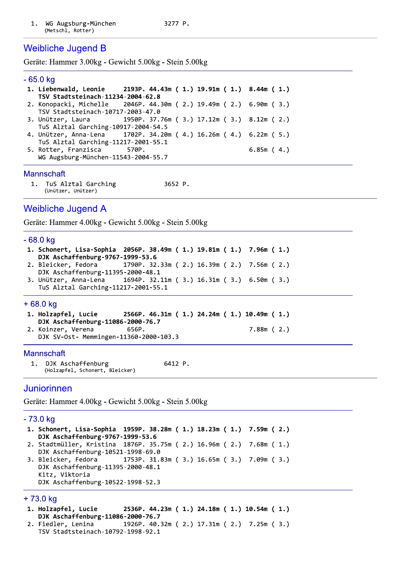# **Weibliche Jugend B**

Geräte: Hammer 3.00kg - Gewicht 5.00kg - Stein 5.00kg

#### $-65.0$  kg

1. Liebenwald, Leonie 2193P. 44.43m (1.) 19.91m (1.) 8.44m (1.) TSV Stadtsteinach-11234-2004-62.8 2046P. 44.30m (2.) 19.49m (2.) 6.90m (3.) 2. Konopacki, Michelle TSV Stadtsteinach-10717-2003-47.0 3. Unützer, Laura 1950P. 37.76m (3.) 17.12m (3.) 8.12m (2.) TuS Alztal Garching-10917-2004-54.5 4. Unützer, Anna-Lena 1702P. 34.20m (4.) 16.26m (4.) 6.22m (5.) TuS Alztal Garching-11217-2001-55.1 5. Rotter, Franzisca 570P.  $6.85m(4.)$ WG Augsburg-München-11543-2004-55.7

## Mannschaft

 $1<sub>1</sub>$ TuS Alztal Garching 3652 P. (Unützer, Unützer)

# **Weibliche Jugend A**

Geräte: Hammer 4.00kg - Gewicht 5.00kg - Stein 5.00kg

### - 68.0 ka

```
1. Schonert, Lisa-Sophia 2056P. 38.49m (1.) 19.81m (1.) 7.96m (1.)
  DJK Aschaffenburg-9767-1999-53.6
2. Bleicker, Fedora
                        1790P. 32.33m (2.) 16.39m (2.) 7.56m (2.)
  DJK Aschaffenburg-11395-2000-48.1
```
3. Unützer, Anna-Lena 1694P. 32.11m ( 3.) 16.31m ( 3.) 6.50m ( 3.) TuS Alztal Garching-11217-2001-55.1

## +68.0 kg

```
1. Holzapfel, Lucie
                         2566P. 46.31m (1.) 24.24m (1.) 10.49m (1.)
  DJK Aschaffenburg-11086-2000-76.7
2. Koinzer, Verena
                          656P.
                                                          7.88m(2.)
```
DJK SV-Ost- Memmingen-11360-2000-103.3

### Mannschaft

DJK Aschaffenburg 6412 P.  $1.$ (Holzapfel, Schonert, Bleicker)

# Juniorinnen

Geräte: Hammer 4.00kg - Gewicht 5.00kg - Stein 5.00kg

### - 73.0 kg

1. Schonert, Lisa-Sophia 1959P. 38.28m (1.) 18.23m (1.) 7.59m (2.) DJK Aschaffenburg-9767-1999-53.6 2. Stadtmüller, Kristina 1876P. 35.75m (2.) 16.96m (2.) 7.68m (1.) DJK Aschaffenburg-10521-1998-69.0 3. Bleicker, Fedora 1753P. 31.83m (3.) 16.65m (3.) 7.09m (3.) DJK Aschaffenburg-11395-2000-48.1 Kitz, Viktoria DJK Aschaffenburg-10522-1998-52.3

### +73.0 kg

- 2536P. 44.23m (1.) 24.18m (1.) 10.54m (1.) 1. Holzapfel, Lucie DJK Aschaffenburg-11086-2000-76.7
- 1926P. 40.32m (2.) 17.31m (2.) 7.25m (3.) 2. Fiedler, Lenina TSV Stadtsteinach-10792-1998-92.1